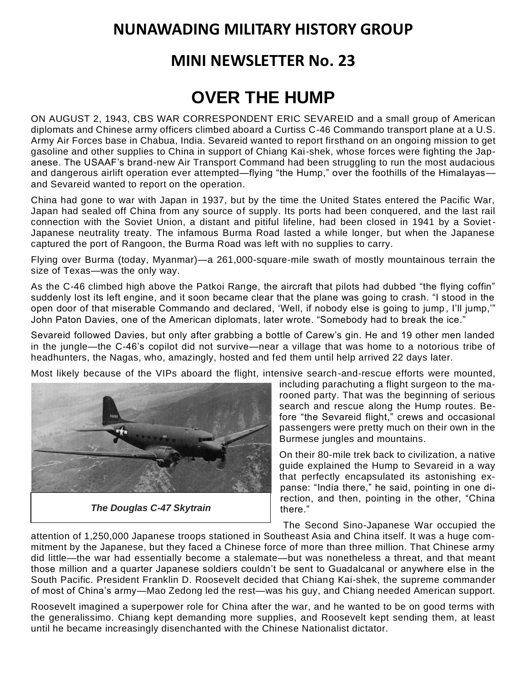## **NUNAWADING MILITARY HISTORY GROUP**

## **MINI NEWSLETTER No. 23**

## **OVER THE HUMP**

ON AUGUST 2, 1943, CBS WAR CORRESPONDENT ERIC SEVAREID and a small group of American diplomats and Chinese army officers climbed aboard a Curtiss C-46 Commando transport plane at a U.S. Army Air Forces base in Chabua, India. Sevareid wanted to report firsthand on an ongoing mission to get gasoline and other supplies to China in support of Chiang Kai-shek, whose forces were fighting the Japanese. The USAAF's brand-new Air Transport Command had been struggling to run the most audacious and dangerous airlift operation ever attempted—flying "the Hump," over the foothills of the Himalayas and Sevareid wanted to report on the operation.

China had gone to war with Japan in 1937, but by the time the United States entered the Pacific War, Japan had sealed off China from any source of supply. Its ports had been conquered, and the last rail connection with the Soviet Union, a distant and pitiful lifeline, had been closed in 1941 by a Soviet-Japanese neutrality treaty. The infamous Burma Road lasted a while longer, but when the Japanese captured the port of Rangoon, the Burma Road was left with no supplies to carry.

Flying over Burma (today, Myanmar)—a 261,000-square-mile swath of mostly mountainous terrain the size of Texas—was the only way.

As the C-46 climbed high above the Patkoi Range, the aircraft that pilots had dubbed "the flying coffin" suddenly lost its left engine, and it soon became clear that the plane was going to crash. "I stood in the open door of that miserable Commando and declared, 'Well, if nobody else is going to jump , I'll jump,'" John Paton Davies, one of the American diplomats, later wrote. "Somebody had to break the ice."

Sevareid followed Davies, but only after grabbing a bottle of Carew's gin. He and 19 other men landed in the jungle—the C-46's copilot did not survive—near a village that was home to a notorious tribe of headhunters, the Nagas, who, amazingly, hosted and fed them until help arrived 22 days later.

Most likely because of the VIPs aboard the flight, intensive search-and-rescue efforts were mounted,



*The Douglas C-47 Skytrain*

including parachuting a flight surgeon to the marooned party. That was the beginning of serious search and rescue along the Hump routes. Before "the Sevareid flight," crews and occasional passengers were pretty much on their own in the Burmese jungles and mountains.

On their 80-mile trek back to civilization, a native guide explained the Hump to Sevareid in a way that perfectly encapsulated its astonishing expanse: "India there," he said, pointing in one direction, and then, pointing in the other, "China there."

The Second Sino-Japanese War occupied the

attention of 1,250,000 Japanese troops stationed in Southeast Asia and China itself. It was a huge commitment by the Japanese, but they faced a Chinese force of more than three million. That Chinese army did little—the war had essentially become a stalemate—but was nonetheless a threat, and that meant those million and a quarter Japanese soldiers couldn't be sent to Guadalcanal or anywhere else in the South Pacific. President Franklin D. Roosevelt decided that Chiang Kai-shek, the supreme commander of most of China's army—Mao Zedong led the rest—was his guy, and Chiang needed American support.

Roosevelt imagined a superpower role for China after the war, and he wanted to be on good terms with the generalissimo. Chiang kept demanding more supplies, and Roosevelt kept sending them, at least until he became increasingly disenchanted with the Chinese Nationalist dictator.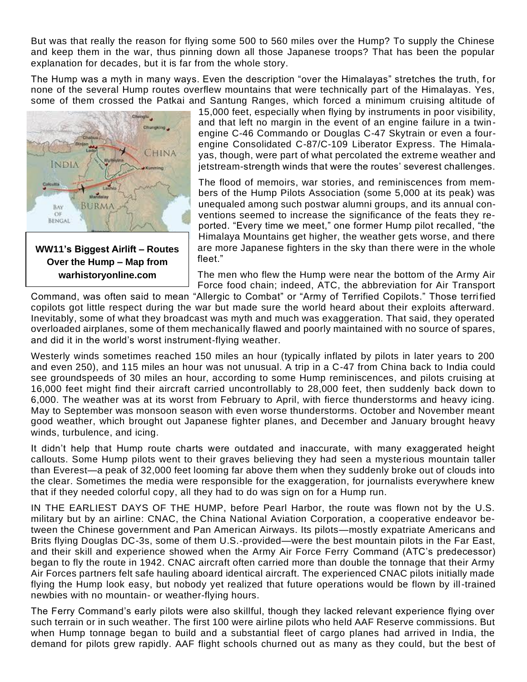But was that really the reason for flying some 500 to 560 miles over the Hump? To supply the Chinese and keep them in the war, thus pinning down all those Japanese troops? That has been the popular explanation for decades, but it is far from the whole story.

The Hump was a myth in many ways. Even the description "over the Himalayas" stretches the truth, for none of the several Hump routes overflew mountains that were technically part of the Himalayas. Yes, some of them crossed the Patkai and Santung Ranges, which forced a minimum cruising altitude of



**WW11's Biggest Airlift – Routes Over the Hump – Map from warhistoryonline.com**

15,000 feet, especially when flying by instruments in poor visibility, and that left no margin in the event of an engine failure in a twinengine C-46 Commando or Douglas C-47 Skytrain or even a fourengine Consolidated C-87/C-109 Liberator Express. The Himalayas, though, were part of what percolated the extreme weather and jetstream-strength winds that were the routes' severest challenges.

The flood of memoirs, war stories, and reminiscences from members of the Hump Pilots Association (some 5,000 at its peak) was unequaled among such postwar alumni groups, and its annual conventions seemed to increase the significance of the feats they reported. "Every time we meet," one former Hump pilot recalled, "the Himalaya Mountains get higher, the weather gets worse, and there are more Japanese fighters in the sky than there were in the whole fleet."

The men who flew the Hump were near the bottom of the Army Air Force food chain; indeed, ATC, the abbreviation for Air Transport

Command, was often said to mean "Allergic to Combat" or "Army of Terrified Copilots." Those terri fied copilots got little respect during the war but made sure the world heard about their exploits afterward. Inevitably, some of what they broadcast was myth and much was exaggeration. That said, they operated overloaded airplanes, some of them mechanically flawed and poorly maintained with no source of spares, and did it in the world's worst instrument-flying weather.

Westerly winds sometimes reached 150 miles an hour (typically inflated by pilots in later years to 200 and even 250), and 115 miles an hour was not unusual. A trip in a C-47 from China back to India could see groundspeeds of 30 miles an hour, according to some Hump reminiscences, and pilots cruising at 16,000 feet might find their aircraft carried uncontrollably to 28,000 feet, then suddenly back down to 6,000. The weather was at its worst from February to April, with fierce thunderstorms and heavy icing. May to September was monsoon season with even worse thunderstorms. October and November meant good weather, which brought out Japanese fighter planes, and December and January brought heavy winds, turbulence, and icing.

It didn't help that Hump route charts were outdated and inaccurate, with many exaggerated height callouts. Some Hump pilots went to their graves believing they had seen a mysterious mountain taller than Everest—a peak of 32,000 feet looming far above them when they suddenly broke out of clouds into the clear. Sometimes the media were responsible for the exaggeration, for journalists everywhere knew that if they needed colorful copy, all they had to do was sign on for a Hump run.

IN THE EARLIEST DAYS OF THE HUMP, before Pearl Harbor, the route was flown not by the U.S. military but by an airline: CNAC, the China National Aviation Corporation, a cooperative endeavor between the Chinese government and Pan American Airways. Its pilots—mostly expatriate Americans and Brits flying Douglas DC-3s, some of them U.S.-provided—were the best mountain pilots in the Far East, and their skill and experience showed when the Army Air Force Ferry Command (ATC's predecessor) began to fly the route in 1942. CNAC aircraft often carried more than double the tonnage that their Army Air Forces partners felt safe hauling aboard identical aircraft. The experienced CNAC pilots initially made flying the Hump look easy, but nobody yet realized that future operations would be flown by ill-trained newbies with no mountain- or weather-flying hours.

The Ferry Command's early pilots were also skillful, though they lacked relevant experience flying over such terrain or in such weather. The first 100 were airline pilots who held AAF Reserve commissions. But when Hump tonnage began to build and a substantial fleet of cargo planes had arrived in India, the demand for pilots grew rapidly. AAF flight schools churned out as many as they could, but the best of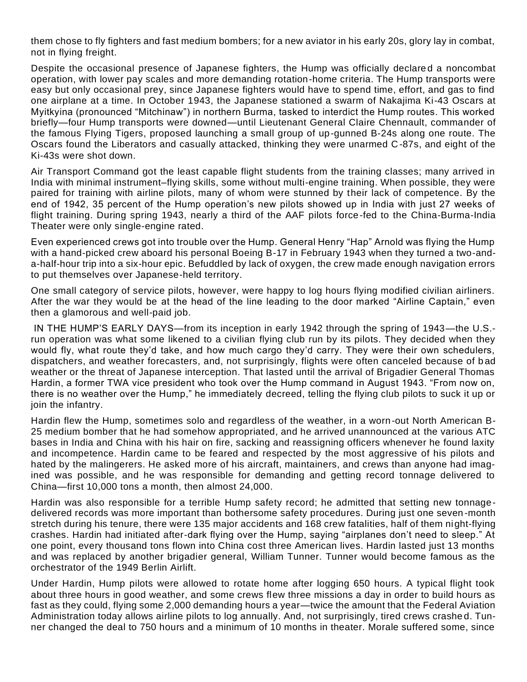them chose to fly fighters and fast medium bombers; for a new aviator in his early 20s, glory lay in combat, not in flying freight.

Despite the occasional presence of Japanese fighters, the Hump was officially declared a noncombat operation, with lower pay scales and more demanding rotation-home criteria. The Hump transports were easy but only occasional prey, since Japanese fighters would have to spend time, effort, and gas to find one airplane at a time. In October 1943, the Japanese stationed a swarm of Nakajima Ki-43 Oscars at Myitkyina (pronounced "Mitchinaw") in northern Burma, tasked to interdict the Hump routes. This worked briefly—four Hump transports were downed—until Lieutenant General Claire Chennault, commander of the famous Flying Tigers, proposed launching a small group of up-gunned B-24s along one route. The Oscars found the Liberators and casually attacked, thinking they were unarmed C-87s, and eight of the Ki-43s were shot down.

Air Transport Command got the least capable flight students from the training classes; many arrived in India with minimal instrument–flying skills, some without multi-engine training. When possible, they were paired for training with airline pilots, many of whom were stunned by their lack of competence. By the end of 1942, 35 percent of the Hump operation's new pilots showed up in India with just 27 weeks of flight training. During spring 1943, nearly a third of the AAF pilots force-fed to the China-Burma-India Theater were only single-engine rated.

Even experienced crews got into trouble over the Hump. General Henry "Hap" Arnold was flying the Hump with a hand-picked crew aboard his personal Boeing B-17 in February 1943 when they turned a two-anda-half-hour trip into a six-hour epic. Befuddled by lack of oxygen, the crew made enough navigation errors to put themselves over Japanese-held territory.

One small category of service pilots, however, were happy to log hours flying modified civilian airliners. After the war they would be at the head of the line leading to the door marked "Airline Captain," even then a glamorous and well-paid job.

IN THE HUMP'S EARLY DAYS—from its inception in early 1942 through the spring of 1943—the U.S. run operation was what some likened to a civilian flying club run by its pilots. They decided when they would fly, what route they'd take, and how much cargo they'd carry. They were their own schedulers, dispatchers, and weather forecasters, and, not surprisingly, flights were often canceled because of b ad weather or the threat of Japanese interception. That lasted until the arrival of Brigadier General Thomas Hardin, a former TWA vice president who took over the Hump command in August 1943. "From now on, there is no weather over the Hump," he immediately decreed, telling the flying club pilots to suck it up or join the infantry.

Hardin flew the Hump, sometimes solo and regardless of the weather, in a worn-out North American B-25 medium bomber that he had somehow appropriated, and he arrived unannounced at the various ATC bases in India and China with his hair on fire, sacking and reassigning officers whenever he found laxity and incompetence. Hardin came to be feared and respected by the most aggressive of his pilots and hated by the malingerers. He asked more of his aircraft, maintainers, and crews than anyone had imagined was possible, and he was responsible for demanding and getting record tonnage delivered to China—first 10,000 tons a month, then almost 24,000.

Hardin was also responsible for a terrible Hump safety record; he admitted that setting new tonnagedelivered records was more important than bothersome safety procedures. During just one seven -month stretch during his tenure, there were 135 major accidents and 168 crew fatalities, half of them night-flying crashes. Hardin had initiated after-dark flying over the Hump, saying "airplanes don't need to sleep." At one point, every thousand tons flown into China cost three American lives. Hardin lasted just 13 months and was replaced by another brigadier general, William Tunner. Tunner would become famous as the orchestrator of the 1949 Berlin Airlift.

Under Hardin, Hump pilots were allowed to rotate home after logging 650 hours. A typical flight took about three hours in good weather, and some crews flew three missions a day in order to build hours as fast as they could, flying some 2,000 demanding hours a year—twice the amount that the Federal Aviation Administration today allows airline pilots to log annually. And, not surprisingly, tired crews crashe d. Tunner changed the deal to 750 hours and a minimum of 10 months in theater. Morale suffered some, since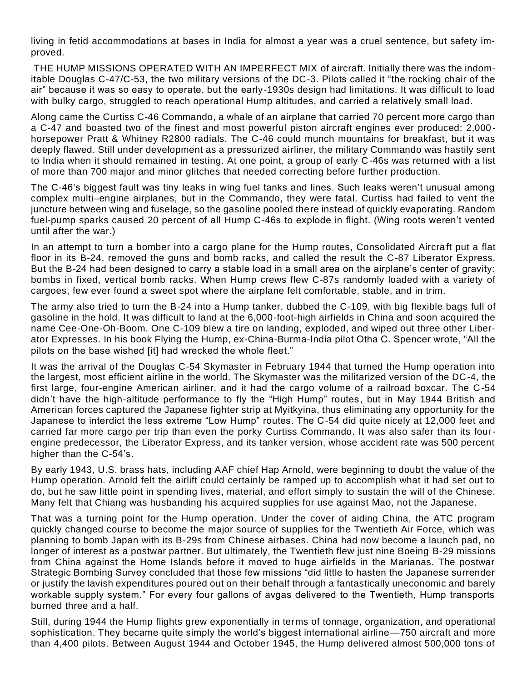living in fetid accommodations at bases in India for almost a year was a cruel sentence, but safety improved.

THE HUMP MISSIONS OPERATED WITH AN IMPERFECT MIX of aircraft. Initially there was the indomitable Douglas C-47/C-53, the two military versions of the DC-3. Pilots called it "the rocking chair of the air" because it was so easy to operate, but the early-1930s design had limitations. It was difficult to load with bulky cargo, struggled to reach operational Hump altitudes, and carried a relatively small load.

Along came the Curtiss C-46 Commando, a whale of an airplane that carried 70 percent more cargo than a C-47 and boasted two of the finest and most powerful piston aircraft engines ever produced: 2,000 horsepower Pratt & Whitney R2800 radials. The C-46 could munch mountains for breakfast, but it was deeply flawed. Still under development as a pressurized airliner, the military Commando was hastily sent to India when it should remained in testing. At one point, a group of early C-46s was returned with a list of more than 700 major and minor glitches that needed correcting before further production.

The C-46's biggest fault was tiny leaks in wing fuel tanks and lines. Such leaks weren't unusual among complex multi–engine airplanes, but in the Commando, they were fatal. Curtiss had failed to vent the juncture between wing and fuselage, so the gasoline pooled there instead of quickly evaporating. Random fuel-pump sparks caused 20 percent of all Hump C-46s to explode in flight. (Wing roots weren't vented until after the war.)

In an attempt to turn a bomber into a cargo plane for the Hump routes, Consolidated Aircra ft put a flat floor in its B-24, removed the guns and bomb racks, and called the result the C-87 Liberator Express. But the B-24 had been designed to carry a stable load in a small area on the airplane's center of gravity: bombs in fixed, vertical bomb racks. When Hump crews flew C-87s randomly loaded with a variety of cargoes, few ever found a sweet spot where the airplane felt comfortable, stable, and in trim.

The army also tried to turn the B-24 into a Hump tanker, dubbed the C-109, with big flexible bags full of gasoline in the hold. It was difficult to land at the 6,000-foot-high airfields in China and soon acquired the name Cee-One-Oh-Boom. One C-109 blew a tire on landing, exploded, and wiped out three other Liberator Expresses. In his book Flying the Hump, ex-China-Burma-India pilot Otha C. Spencer wrote, "All the pilots on the base wished [it] had wrecked the whole fleet."

It was the arrival of the Douglas C-54 Skymaster in February 1944 that turned the Hump operation into the largest, most efficient airline in the world. The Skymaster was the militarized version of the DC-4, the first large, four-engine American airliner, and it had the cargo volume of a railroad boxcar. The C-54 didn't have the high-altitude performance to fly the "High Hump" routes, but in May 1944 British and American forces captured the Japanese fighter strip at Myitkyina, thus eliminating any opportunity for the Japanese to interdict the less extreme "Low Hump" routes. The C-54 did quite nicely at 12,000 feet and carried far more cargo per trip than even the porky Curtiss Commando. It was also safer than its fourengine predecessor, the Liberator Express, and its tanker version, whose accident rate was 500 percent higher than the C-54's.

By early 1943, U.S. brass hats, including AAF chief Hap Arnold, were beginning to doubt the value of the Hump operation. Arnold felt the airlift could certainly be ramped up to accomplish what it had set out to do, but he saw little point in spending lives, material, and effort simply to sustain the will of the Chinese. Many felt that Chiang was husbanding his acquired supplies for use against Mao, not the Japanese.

That was a turning point for the Hump operation. Under the cover of aiding China, the ATC program quickly changed course to become the major source of supplies for the Twentieth Air Force, which was planning to bomb Japan with its B-29s from Chinese airbases. China had now become a launch pad, no longer of interest as a postwar partner. But ultimately, the Twentieth flew just nine Boeing B-29 missions from China against the Home Islands before it moved to huge airfields in the Marianas. The postwar Strategic Bombing Survey concluded that those few missions "did little to hasten the Japanese surrender or justify the lavish expenditures poured out on their behalf through a fantastically uneconomic and barely workable supply system." For every four gallons of avgas delivered to the Twentieth, Hump transports burned three and a half.

Still, during 1944 the Hump flights grew exponentially in terms of tonnage, organization, and operational sophistication. They became quite simply the world's biggest international airline—750 aircraft and more than 4,400 pilots. Between August 1944 and October 1945, the Hump delivered almost 500,000 tons of